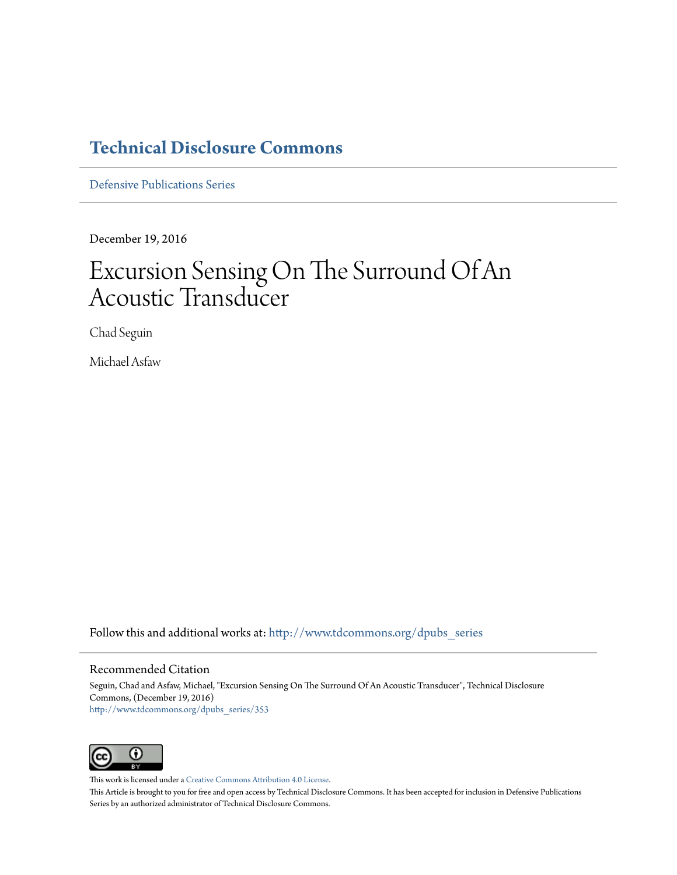### **[Technical Disclosure Commons](http://www.tdcommons.org?utm_source=www.tdcommons.org%2Fdpubs_series%2F353&utm_medium=PDF&utm_campaign=PDFCoverPages)**

[Defensive Publications Series](http://www.tdcommons.org/dpubs_series?utm_source=www.tdcommons.org%2Fdpubs_series%2F353&utm_medium=PDF&utm_campaign=PDFCoverPages)

December 19, 2016

# Excursion Sensing On The Surround Of An Acoustic Transducer

Chad Seguin

Michael Asfaw

Follow this and additional works at: [http://www.tdcommons.org/dpubs\\_series](http://www.tdcommons.org/dpubs_series?utm_source=www.tdcommons.org%2Fdpubs_series%2F353&utm_medium=PDF&utm_campaign=PDFCoverPages)

### Recommended Citation

Seguin, Chad and Asfaw, Michael, "Excursion Sensing On The Surround Of An Acoustic Transducer", Technical Disclosure Commons, (December 19, 2016) [http://www.tdcommons.org/dpubs\\_series/353](http://www.tdcommons.org/dpubs_series/353?utm_source=www.tdcommons.org%2Fdpubs_series%2F353&utm_medium=PDF&utm_campaign=PDFCoverPages)



This work is licensed under a [Creative Commons Attribution 4.0 License.](http://creativecommons.org/licenses/by/4.0/deed.en_US)

This Article is brought to you for free and open access by Technical Disclosure Commons. It has been accepted for inclusion in Defensive Publications Series by an authorized administrator of Technical Disclosure Commons.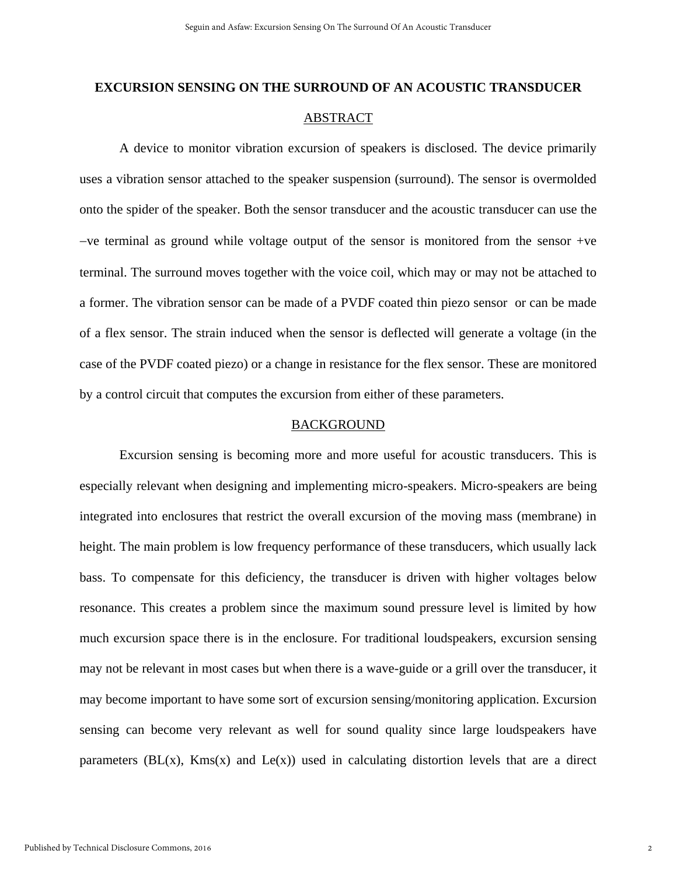## **EXCURSION SENSING ON THE SURROUND OF AN ACOUSTIC TRANSDUCER** ABSTRACT

A device to monitor vibration excursion of speakers is disclosed. The device primarily uses a vibration sensor attached to the speaker suspension (surround). The sensor is overmolded onto the spider of the speaker. Both the sensor transducer and the acoustic transducer can use the  $-ve$  terminal as ground while voltage output of the sensor is monitored from the sensor  $+ve$ terminal. The surround moves together with the voice coil, which may or may not be attached to a former. The vibration sensor can be made of a PVDF coated thin piezo sensor or can be made of a flex sensor. The strain induced when the sensor is deflected will generate a voltage (in the case of the PVDF coated piezo) or a change in resistance for the flex sensor. These are monitored by a control circuit that computes the excursion from either of these parameters.

### BACKGROUND

Excursion sensing is becoming more and more useful for acoustic transducers. This is especially relevant when designing and implementing micro-speakers. Micro-speakers are being integrated into enclosures that restrict the overall excursion of the moving mass (membrane) in height. The main problem is low frequency performance of these transducers, which usually lack bass. To compensate for this deficiency, the transducer is driven with higher voltages below resonance. This creates a problem since the maximum sound pressure level is limited by how much excursion space there is in the enclosure. For traditional loudspeakers, excursion sensing may not be relevant in most cases but when there is a wave-guide or a grill over the transducer, it may become important to have some sort of excursion sensing/monitoring application. Excursion sensing can become very relevant as well for sound quality since large loudspeakers have parameters  $(BL(x), Kms(x))$  and  $Le(x)$  used in calculating distortion levels that are a direct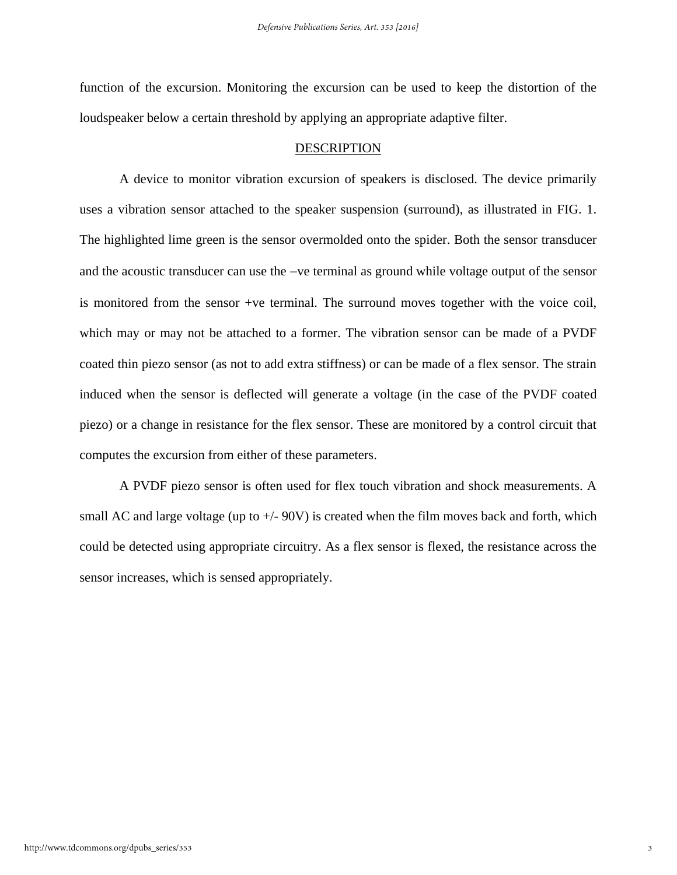function of the excursion. Monitoring the excursion can be used to keep the distortion of the loudspeaker below a certain threshold by applying an appropriate adaptive filter.

#### DESCRIPTION

A device to monitor vibration excursion of speakers is disclosed. The device primarily uses a vibration sensor attached to the speaker suspension (surround), as illustrated in FIG. 1. The highlighted lime green is the sensor overmolded onto the spider. Both the sensor transducer and the acoustic transducer can use the  $-ve$  terminal as ground while voltage output of the sensor is monitored from the sensor +ve terminal. The surround moves together with the voice coil, which may or may not be attached to a former. The vibration sensor can be made of a PVDF coated thin piezo sensor (as not to add extra stiffness) or can be made of a flex sensor. The strain induced when the sensor is deflected will generate a voltage (in the case of the PVDF coated piezo) or a change in resistance for the flex sensor. These are monitored by a control circuit that computes the excursion from either of these parameters.

A PVDF piezo sensor is often used for flex touch vibration and shock measurements. A small AC and large voltage (up to  $+/- 90V$ ) is created when the film moves back and forth, which could be detected using appropriate circuitry. As a flex sensor is flexed, the resistance across the sensor increases, which is sensed appropriately.